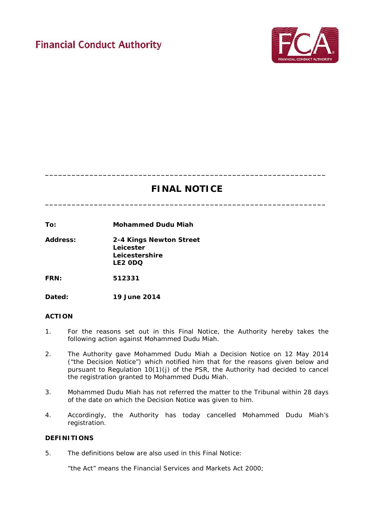# **Financial Conduct Authority**



## **FINAL NOTICE**

**\_\_\_\_\_\_\_\_\_\_\_\_\_\_\_\_\_\_\_\_\_\_\_\_\_\_\_\_\_\_\_\_\_\_\_\_\_\_\_\_\_\_\_\_\_\_\_\_\_\_\_\_\_\_\_\_\_\_\_\_\_\_\_**

**\_\_\_\_\_\_\_\_\_\_\_\_\_\_\_\_\_\_\_\_\_\_\_\_\_\_\_\_\_\_\_\_\_\_\_\_\_\_\_\_\_\_\_\_\_\_\_\_\_\_\_\_\_\_\_\_\_\_\_\_\_\_\_**

**To: Mohammed Dudu Miah**

**Address: 2-4 Kings Newton Street Leicester Leicestershire LE2 0DQ**

**FRN: 512331**

**Dated: 19 June 2014**

#### **ACTION**

- 1. For the reasons set out in this Final Notice, the Authority hereby takes the following action against Mohammed Dudu Miah.
- 2. The Authority gave Mohammed Dudu Miah a Decision Notice on 12 May 2014 ("the Decision Notice") which notified him that for the reasons given below and pursuant to Regulation 10(1)(j) of the PSR, the Authority had decided to cancel the registration granted to Mohammed Dudu Miah.
- 3. Mohammed Dudu Miah has not referred the matter to the Tribunal within 28 days of the date on which the Decision Notice was given to him.
- 4. Accordingly, the Authority has today cancelled Mohammed Dudu Miah's registration.

#### **DEFINITIONS**

5. The definitions below are also used in this Final Notice:

"the Act" means the Financial Services and Markets Act 2000;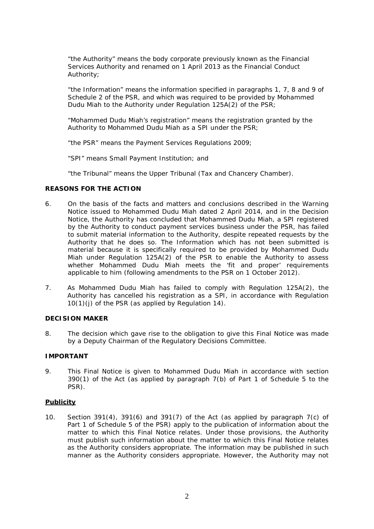"the Authority" means the body corporate previously known as the Financial Services Authority and renamed on 1 April 2013 as the Financial Conduct Authority;

"the Information" means the information specified in paragraphs 1, 7, 8 and 9 of Schedule 2 of the PSR, and which was required to be provided by Mohammed Dudu Miah to the Authority under Regulation 125A(2) of the PSR;

"Mohammed Dudu Miah's registration" means the registration granted by the Authority to Mohammed Dudu Miah as a SPI under the PSR;

"the PSR" means the Payment Services Regulations 2009;

"SPI" means Small Payment Institution; and

"the Tribunal" means the Upper Tribunal (Tax and Chancery Chamber).

#### **REASONS FOR THE ACTION**

- 6. On the basis of the facts and matters and conclusions described in the Warning Notice issued to Mohammed Dudu Miah dated 2 April 2014, and in the Decision Notice, the Authority has concluded that Mohammed Dudu Miah, a SPI registered by the Authority to conduct payment services business under the PSR, has failed to submit material information to the Authority, despite repeated requests by the Authority that he does so. The Information which has not been submitted is material because it is specifically required to be provided by Mohammed Dudu Miah under Regulation 125A(2) of the PSR to enable the Authority to assess whether Mohammed Dudu Miah meets the 'fit and proper' requirements applicable to him (following amendments to the PSR on 1 October 2012).
- 7. As Mohammed Dudu Miah has failed to comply with Regulation 125A(2), the Authority has cancelled his registration as a SPI, in accordance with Regulation 10(1)(j) of the PSR (as applied by Regulation 14).

#### **DECISION MAKER**

8. The decision which gave rise to the obligation to give this Final Notice was made by a Deputy Chairman of the Regulatory Decisions Committee.

### **IMPORTANT**

9. This Final Notice is given to Mohammed Dudu Miah in accordance with section 390(1) of the Act (as applied by paragraph 7(b) of Part 1 of Schedule 5 to the PSR).

#### **Publicity**

10. Section 391(4), 391(6) and 391(7) of the Act (as applied by paragraph 7(c) of Part 1 of Schedule 5 of the PSR) apply to the publication of information about the matter to which this Final Notice relates. Under those provisions, the Authority must publish such information about the matter to which this Final Notice relates as the Authority considers appropriate. The information may be published in such manner as the Authority considers appropriate. However, the Authority may not